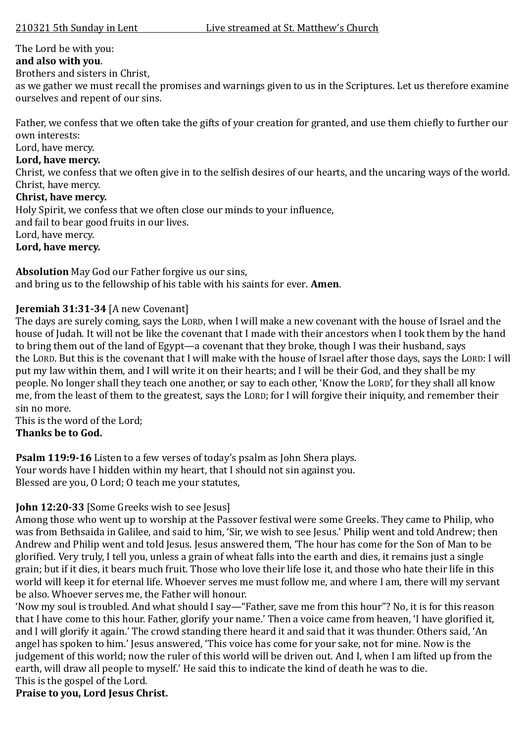# The Lord be with you:

#### **and also with you**.

Brothers and sisters in Christ,

as we gather we must recall the promises and warnings given to us in the Scriptures. Let us therefore examine ourselves and repent of our sins.

Father, we confess that we often take the gifts of your creation for granted, and use them chiefly to further our own interests:

Lord, have mercy.

#### **Lord, have mercy.**

Christ, we confess that we often give in to the selfish desires of our hearts, and the uncaring ways of the world. Christ, have mercy.

#### **Christ, have mercy.**

Holy Spirit, we confess that we often close our minds to your influence,

and fail to bear good fruits in our lives.

Lord, have mercy.

### **Lord, have mercy.**

**Absolution** May God our Father forgive us our sins, and bring us to the fellowship of his table with his saints for ever. **Amen**.

#### **Jeremiah 31:31-34** [A new Covenant]

The days are surely coming, says the LORD, when I will make a new covenant with the house of Israel and the house of Judah. It will not be like the covenant that I made with their ancestors when I took them by the hand to bring them out of the land of Egypt—a covenant that they broke, though I was their husband, says the LORD. But this is the covenant that I will make with the house of Israel after those days, says the LORD: I will put my law within them, and I will write it on their hearts; and I will be their God, and they shall be my people. No longer shall they teach one another, or say to each other, 'Know the LORD', for they shall all know me, from the least of them to the greatest, says the LORD; for I will forgive their iniquity, and remember their sin no more.

This is the word of the Lord; **Thanks be to God.**

**Psalm 119:9-16** Listen to a few verses of today's psalm as John Shera plays. Your words have I hidden within my heart, that I should not sin against you. Blessed are you, O Lord; O teach me your statutes,

### **John 12:20-33** [Some Greeks wish to see Jesus]

Among those who went up to worship at the Passover festival were some Greeks. They came to Philip, who was from Bethsaida in Galilee, and said to him, 'Sir, we wish to see Jesus.' Philip went and told Andrew; then Andrew and Philip went and told Jesus. Jesus answered them, 'The hour has come for the Son of Man to be glorified. Very truly, I tell you, unless a grain of wheat falls into the earth and dies, it remains just a single grain; but if it dies, it bears much fruit. Those who love their life lose it, and those who hate their life in this world will keep it for eternal life. Whoever serves me must follow me, and where I am, there will my servant be also. Whoever serves me, the Father will honour.

'Now my soul is troubled. And what should I say—"Father, save me from this hour"? No, it is for this reason that I have come to this hour. Father, glorify your name.' Then a voice came from heaven, 'I have glorified it, and I will glorify it again.' The crowd standing there heard it and said that it was thunder. Others said, 'An angel has spoken to him.' Jesus answered, 'This voice has come for your sake, not for mine. Now is the judgement of this world; now the ruler of this world will be driven out. And I, when I am lifted up from the earth, will draw all people to myself.' He said this to indicate the kind of death he was to die. This is the gospel of the Lord.

### **Praise to you, Lord Jesus Christ.**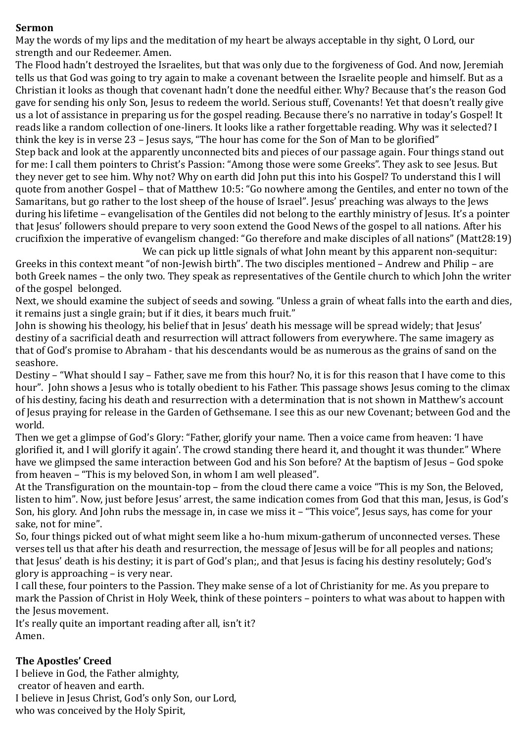#### **Sermon**

May the words of my lips and the meditation of my heart be always acceptable in thy sight, O Lord, our strength and our Redeemer. Amen.

The Flood hadn't destroyed the Israelites, but that was only due to the forgiveness of God. And now, Jeremiah tells us that God was going to try again to make a covenant between the Israelite people and himself. But as a Christian it looks as though that covenant hadn't done the needful either. Why? Because that's the reason God gave for sending his only Son, Jesus to redeem the world. Serious stuff, Covenants! Yet that doesn't really give us a lot of assistance in preparing us for the gospel reading. Because there's no narrative in today's Gospel! It reads like a random collection of one-liners. It looks like a rather forgettable reading. Why was it selected? I think the key is in verse 23 – Jesus says, "The hour has come for the Son of Man to be glorified" Step back and look at the apparently unconnected bits and pieces of our passage again. Four things stand out for me: I call them pointers to Christ's Passion: "Among those were some Greeks". They ask to see Jesus. But they never get to see him. Why not? Why on earth did John put this into his Gospel? To understand this I will quote from another Gospel – that of Matthew 10:5: "Go nowhere among the Gentiles, and enter no town of the Samaritans, but go rather to the lost sheep of the house of Israel". Jesus' preaching was always to the Jews during his lifetime – evangelisation of the Gentiles did not belong to the earthly ministry of Jesus. It's a pointer that Jesus' followers should prepare to very soon extend the Good News of the gospel to all nations. After his crucifixion the imperative of evangelism changed: "Go therefore and make disciples of all nations" (Matt28:19)

We can pick up little signals of what John meant by this apparent non-sequitur: Greeks in this context meant "of non-Jewish birth". The two disciples mentioned – Andrew and Philip – are both Greek names – the only two. They speak as representatives of the Gentile church to which John the writer of the gospel belonged.

Next, we should examine the subject of seeds and sowing. "Unless a grain of wheat falls into the earth and dies, it remains just a single grain; but if it dies, it bears much fruit."

John is showing his theology, his belief that in Jesus' death his message will be spread widely; that Jesus' destiny of a sacrificial death and resurrection will attract followers from everywhere. The same imagery as that of God's promise to Abraham - that his descendants would be as numerous as the grains of sand on the seashore.

Destiny – "What should I say – Father, save me from this hour? No, it is for this reason that I have come to this hour". John shows a Jesus who is totally obedient to his Father. This passage shows Jesus coming to the climax of his destiny, facing his death and resurrection with a determination that is not shown in Matthew's account of Jesus praying for release in the Garden of Gethsemane. I see this as our new Covenant; between God and the world.

Then we get a glimpse of God's Glory: "Father, glorify your name. Then a voice came from heaven: 'I have glorified it, and I will glorify it again'. The crowd standing there heard it, and thought it was thunder." Where have we glimpsed the same interaction between God and his Son before? At the baptism of Jesus – God spoke from heaven – "This is my beloved Son, in whom I am well pleased".

At the Transfiguration on the mountain-top – from the cloud there came a voice "This is my Son, the Beloved, listen to him". Now, just before Jesus' arrest, the same indication comes from God that this man, Jesus, is God's Son, his glory. And John rubs the message in, in case we miss it – "This voice", Jesus says, has come for your sake, not for mine".

So, four things picked out of what might seem like a ho-hum mixum-gatherum of unconnected verses. These verses tell us that after his death and resurrection, the message of Jesus will be for all peoples and nations; that Jesus' death is his destiny; it is part of God's plan;, and that Jesus is facing his destiny resolutely; God's glory is approaching – is very near.

I call these, four pointers to the Passion. They make sense of a lot of Christianity for me. As you prepare to mark the Passion of Christ in Holy Week, think of these pointers – pointers to what was about to happen with the Jesus movement.

It's really quite an important reading after all, isn't it? Amen.

### **The Apostles' Creed**

I believe in God, the Father almighty, creator of heaven and earth. I believe in Jesus Christ, God's only Son, our Lord, who was conceived by the Holy Spirit,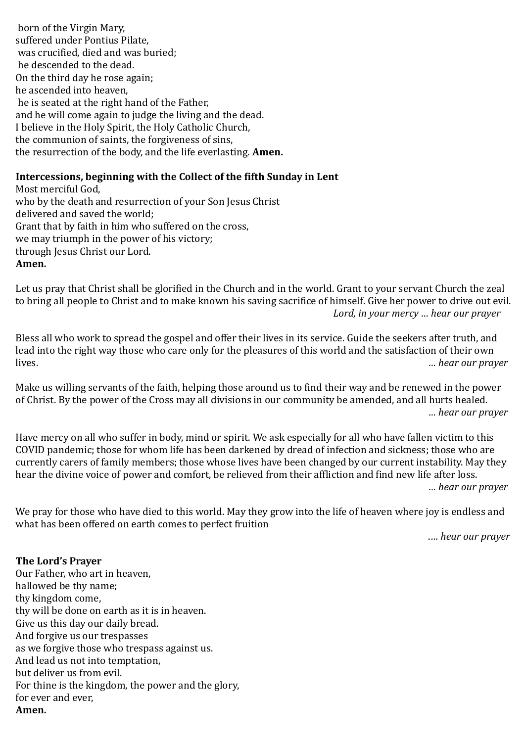born of the Virgin Mary, suffered under Pontius Pilate, was crucified, died and was buried; he descended to the dead. On the third day he rose again; he ascended into heaven, he is seated at the right hand of the Father, and he will come again to judge the living and the dead. I believe in the Holy Spirit, the Holy Catholic Church, the communion of saints, the forgiveness of sins, the resurrection of the body, and the life everlasting. **Amen.** 

### **Intercessions, beginning with the Collect of the fifth Sunday in Lent**

Most merciful God, who by the death and resurrection of your Son Jesus Christ delivered and saved the world; Grant that by faith in him who suffered on the cross, we may triumph in the power of his victory; through Jesus Christ our Lord. **Amen.**

Let us pray that Christ shall be glorified in the Church and in the world. Grant to your servant Church the zeal to bring all people to Christ and to make known his saving sacrifice of himself. Give her power to drive out evil. *Lord, in your mercy … hear our prayer*

Bless all who work to spread the gospel and offer their lives in its service. Guide the seekers after truth, and lead into the right way those who care only for the pleasures of this world and the satisfaction of their own lives. *… hear our prayer*

Make us willing servants of the faith, helping those around us to find their way and be renewed in the power of Christ. By the power of the Cross may all divisions in our community be amended, and all hurts healed. *… hear our prayer*

Have mercy on all who suffer in body, mind or spirit. We ask especially for all who have fallen victim to this COVID pandemic; those for whom life has been darkened by dread of infection and sickness; those who are currently carers of family members; those whose lives have been changed by our current instability. May they hear the divine voice of power and comfort, be relieved from their affliction and find new life after loss. *… hear our prayer*

We pray for those who have died to this world. May they grow into the life of heaven where joy is endless and what has been offered on earth comes to perfect fruition

.*… hear our prayer*

### **The Lord's Prayer**

Our Father, who art in heaven, hallowed be thy name; thy kingdom come, thy will be done on earth as it is in heaven. Give us this day our daily bread. And forgive us our trespasses as we forgive those who trespass against us. And lead us not into temptation, but deliver us from evil. For thine is the kingdom, the power and the glory, for ever and ever, **Amen.**